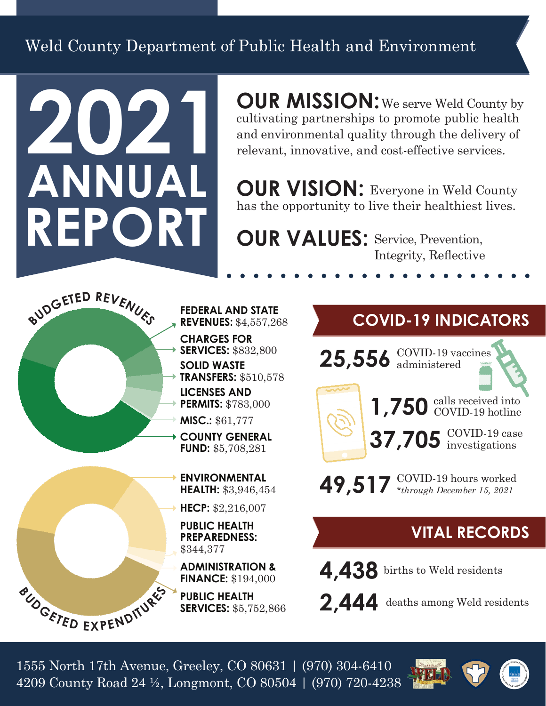Weld County Department of Public Health and Environment

# **2021 ANNUAL REPORT**

**OUR MISSION:** We serve Weld County by cultivating partnerships to promote public health and environmental quality through the delivery of relevant, innovative, and cost-effective services.

**OUR VISION: Everyone in Weld County** has the opportunity to live their healthiest lives.

**OUR VALUES: Service, Prevention,** Integrity, Reflective



- **FEDERAL AND STATE REVENUES:** \$4,557,268
- **CHARGES FOR SERVICES:** \$832,800
- **SOLID WASTE TRANSFERS:** \$510,578
- **PERMITS:** \$783,000
- **MISC.:** \$61,777
- **COUNTY GENERAL FUND:** \$5,708,281
	- **ENVIRONMENTAL HEALTH:** \$3,946,454
	- **HECP:** \$2,216,007
	- **PUBLIC HEALTH PREPAREDNESS:** \$344,377

**ADMINISTRATION & FINANCE:** \$194,000

**PUBLIC HEALTH SERVICES:** \$5,752,866

## **COVID-19 INDICATORS**

 $25,556$   $\frac{\text{COVID-19}}{\text{administered}}$ 



**49,517** COVID-19 hours worked *\*through December 15, 2021*

## **VITAL RECORDS**

**4,438** births to Weld residents

**2,444** deaths among Weld residents

1555 North 17th Avenue, Greeley, CO 80631 | (970) 304-6410 4209 County Road 24 ½, Longmont, CO 80504 | (970) 720-4238